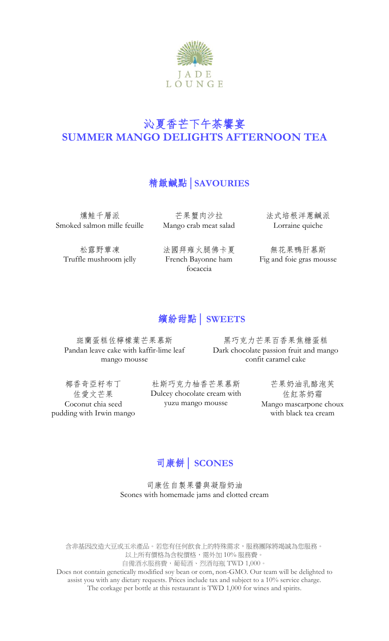

# 沁夏香芒下午茶饗宴 **SUMMER MANGO DELIGHTS AFTERNOON TEA**

## 精緻鹹點**│SAVOURIES**

燻鮭千層派 Smoked salmon mille feuille

松露野蕈凍 Truffle mushroom jelly

芒果蟹肉沙拉 Mango crab meat salad

法國拜雍火腿佛卡夏 French Bayonne ham focaccia

法式培根洋蔥鹹派 Lorraine quiche

無花果鴨肝慕斯 Fig and foie gras mousse

# 繽紛甜點**│ SWEETS**

斑蘭蛋糕佐檸檬葉芒果慕斯 Pandan leave cake with kaffir-lime leaf mango mousse

黑巧克力芒果百香果焦糖蛋糕 Dark chocolate passion fruit and mango confit caramel cake

椰香奇亞籽布丁 佐愛文芒果 Coconut chia seed pudding with Irwin mango

杜斯巧克力柚香芒果慕斯 Dulcey chocolate cream with yuzu mango mousse

芒果奶油乳酪泡芙 佐紅茶奶霜 Mango mascarpone choux with black tea cream

## 司康餅**│ SCONES**

司康佐自製果醬與凝脂奶油 Scones with homemade jams and clotted cream

含非基因改造大豆或玉米產品。若您有任何飲食上的特殊需求,服務團隊將竭誠為您服務。 以上所有價格為含稅價格,需外加 10% 服務費。 自備酒水服務費,葡萄酒、烈酒每瓶 TWD 1,000。 Does not contain genetically modified soy bean or corn, non-GMO. Our team will be delighted to assist you with any dietary requests. Prices include tax and subject to a 10% service charge. The corkage per bottle at this restaurant is TWD 1,000 for wines and spirits.